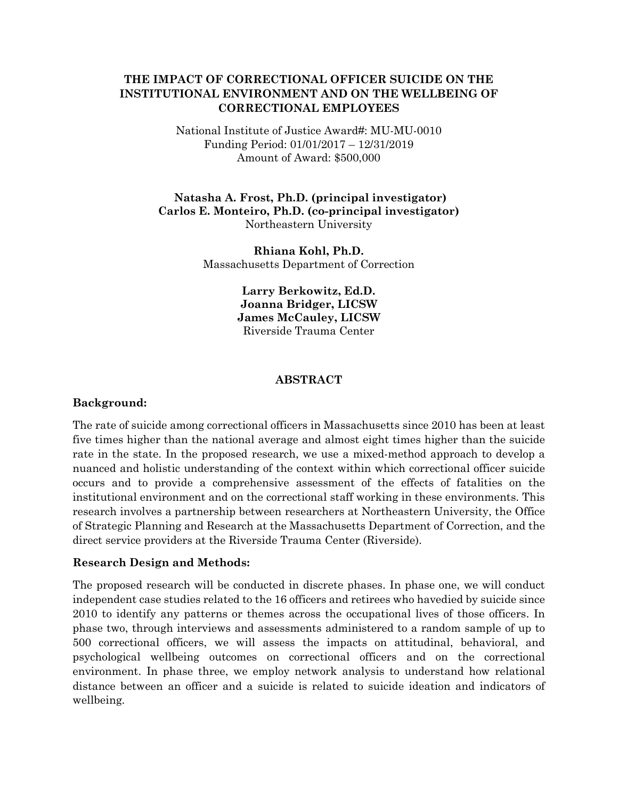# **THE IMPACT OF CORRECTIONAL OFFICER SUICIDE ON THE INSTITUTIONAL ENVIRONMENT AND ON THE WELLBEING OF CORRECTIONAL EMPLOYEES**

National Institute of Justice Award#: MU-MU-0010 Funding Period: 01/01/2017 – 12/31/2019 Amount of Award: \$500,000

**Natasha A. Frost, Ph.D. (principal investigator) Carlos E. Monteiro, Ph.D. (co-principal investigator)**  Northeastern University

> **Rhiana Kohl, Ph.D.**  Massachusetts Department of Correction

> > **Larry Berkowitz, Ed.D. Joanna Bridger, LICSW James McCauley, LICSW**  Riverside Trauma Center

### **ABSTRACT**

### **Background:**

The rate of suicide among correctional officers in Massachusetts since 2010 has been at least five times higher than the national average and almost eight times higher than the suicide rate in the state. In the proposed research, we use a mixed-method approach to develop a nuanced and holistic understanding of the context within which correctional officer suicide occurs and to provide a comprehensive assessment of the effects of fatalities on the institutional environment and on the correctional staff working in these environments. This research involves a partnership between researchers at Northeastern University, the Office of Strategic Planning and Research at the Massachusetts Department of Correction, and the direct service providers at the Riverside Trauma Center (Riverside).

#### **Research Design and Methods:**

The proposed research will be conducted in discrete phases. In phase one, we will conduct independent case studies related to the 16 officers and retirees who havedied by suicide since 2010 to identify any patterns or themes across the occupational lives of those officers. In phase two, through interviews and assessments administered to a random sample of up to 500 correctional officers, we will assess the impacts on attitudinal, behavioral, and psychological wellbeing outcomes on correctional officers and on the correctional environment. In phase three, we employ network analysis to understand how relational distance between an officer and a suicide is related to suicide ideation and indicators of wellbeing.